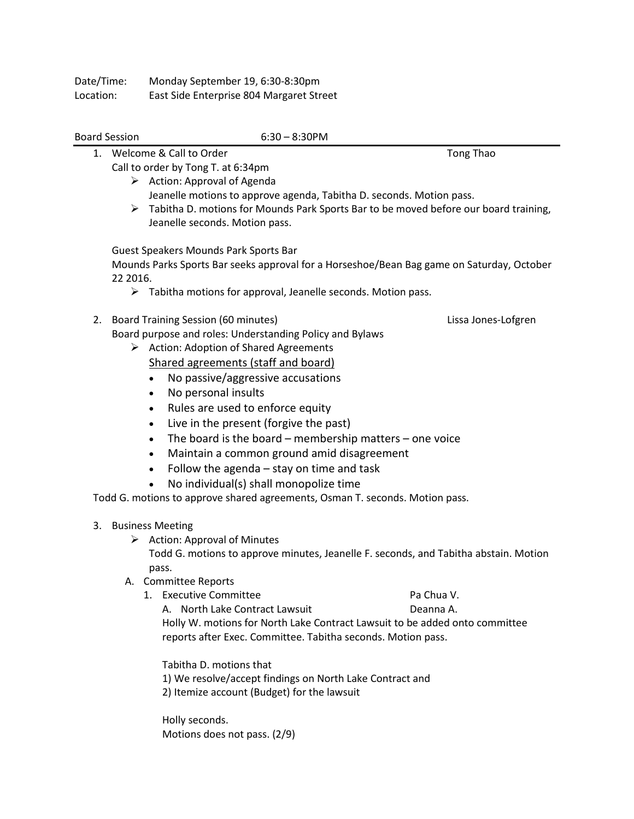| Date/Time: | Monday September 19, 6:30-8:30pm         |
|------------|------------------------------------------|
| Location:  | East Side Enterprise 804 Margaret Street |

## Board Session 6:30 – 8:30PM

- 1. Welcome & Call to Order Tong Thao Call to order by Tong T. at 6:34pm
	- $\triangleright$  Action: Approval of Agenda Jeanelle motions to approve agenda, Tabitha D. seconds. Motion pass.
	- $\triangleright$  Tabitha D. motions for Mounds Park Sports Bar to be moved before our board training, Jeanelle seconds. Motion pass.

Guest Speakers Mounds Park Sports Bar

Mounds Parks Sports Bar seeks approval for a Horseshoe/Bean Bag game on Saturday, October 22 2016.

- $\triangleright$  Tabitha motions for approval, Jeanelle seconds. Motion pass.
- 2. Board Training Session (60 minutes) Lissa Jones-Lofgren Board purpose and roles: Understanding Policy and Bylaws
	- $\triangleright$  Action: Adoption of Shared Agreements Shared agreements (staff and board)
		- No passive/aggressive accusations
		- No personal insults
		- Rules are used to enforce equity
		- Live in the present (forgive the past)
		- The board is the board membership matters one voice
		- Maintain a common ground amid disagreement
		- Follow the agenda stay on time and task
		- No individual(s) shall monopolize time

Todd G. motions to approve shared agreements, Osman T. seconds. Motion pass.

- 3. Business Meeting
	- $\triangleright$  Action: Approval of Minutes

Todd G. motions to approve minutes, Jeanelle F. seconds, and Tabitha abstain. Motion pass.

- A. Committee Reports
	- 1. Executive Committee **Pa Chua V.** Pa Chua V.

A. North Lake Contract Lawsuit **Communist Contract Lawsuit** Deanna A. Holly W. motions for North Lake Contract Lawsuit to be added onto committee reports after Exec. Committee. Tabitha seconds. Motion pass.

Tabitha D. motions that 1) We resolve/accept findings on North Lake Contract and

2) Itemize account (Budget) for the lawsuit

Holly seconds. Motions does not pass. (2/9)